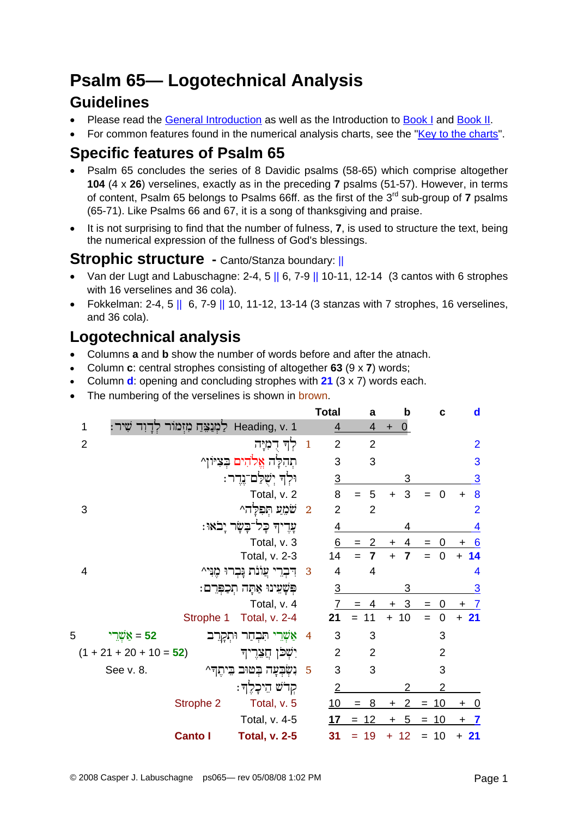# **Psalm 65— Logotechnical Analysis**

## **Guidelines**

- Please read the [General Introduction](http://www.labuschagne.nl/aspects.pdf) as well as the Introduction to [Book I](http://www.labuschagne.nl/intro1.pdf) and [Book II](http://www.labuschagne.nl/intro2.pdf).
- For common features found in the numerical analysis charts, see the "[Key to the charts](http://www.labuschagne.nl/keytocharts.pdf)".

## **Specific features of Psalm 65**

- Psalm 65 concludes the series of 8 Davidic psalms (58-65) which comprise altogether **104** (4 x **26**) verselines, exactly as in the preceding **7** psalms (51-57). However, in terms of content, Psalm 65 belongs to Psalms 66ff. as the first of the 3rd sub-group of **7** psalms (65-71). Like Psalms 66 and 67, it is a song of thanksgiving and praise.
- It is not surprising to find that the number of fulness, **7**, is used to structure the text, being the numerical expression of the fullness of God's blessings.

### **Strophic structure - Canto/Stanza boundary: ||**

- Van der Lugt and Labuschagne: 2-4, 5 || 6, 7-9 || 10-11, 12-14 (3 cantos with 6 strophes with 16 verselines and 36 cola).
- Fokkelman: 2-4, 5 || 6, 7-9 || 10, 11-12, 13-14 (3 stanzas with 7 strophes, 16 verselines, and 36 cola).

# **Logotechnical analysis**

- Columns **a** and **b** show the number of words before and after the atnach.
- Column **c**: central strophes consisting of altogether **63** (9 x **7**) words;
- Column **d**: opening and concluding strophes with **21** (3 x 7) words each.
- The numbering of the verselines is shown in brown.

|                |                           |                |                                    |                         | <b>Total</b>   | a                     | b              | C                     | $\mathbf d$                 |
|----------------|---------------------------|----------------|------------------------------------|-------------------------|----------------|-----------------------|----------------|-----------------------|-----------------------------|
| 1              |                           |                | Heading, v. 1 לַמְנַצֵּחַ מִזְמוֹר |                         | $\overline{4}$ | 4                     | $\Omega$       |                       |                             |
| $\overline{2}$ |                           |                | לְךָ דְמָיָה                       | $\mathbf{1}$            | $\overline{2}$ | $\overline{2}$        |                |                       | $\overline{2}$              |
|                |                           |                | תהלה אלהים בציוו^                  |                         | 3              | 3                     |                |                       | 3                           |
|                |                           |                | וּלְדְ יִשְׁלַם־נֵדֵר:             |                         | 3              |                       | 3              |                       | $\overline{3}$              |
|                |                           |                | Total, v. 2                        |                         | 8              | 5<br>$=$              | 3<br>$\ddot{}$ | $\overline{0}$<br>$=$ | 8<br>$\ddot{}$              |
| 3              |                           |                | שֹׁמֵעַ תְּפִלָּה^                 | $\overline{\mathbf{2}}$ | $\overline{2}$ | $\overline{2}$        |                |                       | $\overline{2}$              |
|                |                           |                | ּעָרֵיךְ כָל־בָשָׂר יָבֹאוּ:       |                         | $\overline{4}$ |                       |                |                       | 4                           |
|                |                           |                | Total, v. 3                        |                         | 6              | $\overline{2}$<br>$=$ | 4<br>$\ddot{}$ | 0<br>$=$              | 6<br>$\ddot{}$              |
|                |                           |                | Total, v. 2-3                      |                         | 14             | $\overline{7}$<br>$=$ | $\ddot{}$<br>7 | 0<br>$=$              | 14<br>$\ddot{}$             |
| 4              |                           |                | דִּבְרֵי עֲוֹנֹת נָבְרוּ מֶנִּי^   | 3                       | 4              | 4                     |                |                       | $\overline{\mathcal{A}}$    |
|                |                           |                | פִּשָׁעֵינוּ אַתָּה תִכְפְּרֵם:    |                         | $\overline{3}$ |                       | 3              |                       | 3                           |
|                |                           |                | Total, v. 4                        |                         | 7              | 4                     | 3<br>$\ddot{}$ | 0<br>$=$              | $\overline{7}$<br>$\ddot{}$ |
|                |                           | Strophe 1      | Total, v. 2-4                      |                         | 21             | 11<br>$=$             | $+ 10$         | $\mathbf 0$<br>$=$    | $+21$                       |
| 5              | 52 = אַשְרֵי              |                | אַשְׁרֵי תִּבְחַר וּתְקְרֵב        | $\overline{4}$          | 3              | 3                     |                | 3                     |                             |
|                | $(1 + 21 + 20 + 10 = 52)$ |                | יִשְׁכן חֲצִדֶיך                   |                         | $\overline{2}$ | $\overline{2}$        |                | $\overline{2}$        |                             |
|                | See v. 8.                 |                | נִשְׁבִעַה בְּטוּב בֵיהֶדְ^        | 5                       | 3              | 3                     |                | 3                     |                             |
|                |                           |                | קִרֹשׁ הֵיכָלֶךָ:                  |                         | $\overline{2}$ |                       |                | $\overline{2}$        |                             |
|                |                           | Strophe 2      | Total, v. 5                        |                         | 10             | 8<br>$=$              | 2<br>+         | 10<br>$=$             | $\ddot{}$<br><u>_0</u>      |
|                |                           |                | Total, v. 4-5                      |                         | 17             | $= 12$                | 5<br>$+$       | $= 10$                | $+ 7$                       |
|                |                           | <b>Canto I</b> | <b>Total, v. 2-5</b>               |                         | 31             | 19                    | 12<br>÷        | 10<br>$=$             | $+21$                       |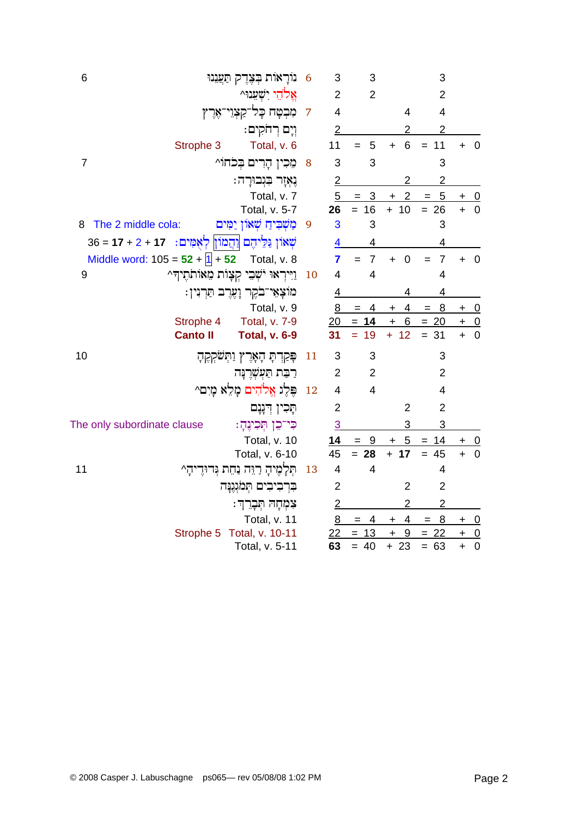| נוֹרָאוֹת בְּצֶדֶק תַּעֲנֵנוּ<br>6                                 | 6  | 3              | 3                     |                             | 3                     |                                          |
|--------------------------------------------------------------------|----|----------------|-----------------------|-----------------------------|-----------------------|------------------------------------------|
| אֵלֹהֵי יִשְׁעֲנוּ^                                                |    | $\overline{2}$ | $\overline{2}$        |                             | $\overline{2}$        |                                          |
| ּמִּבְטָח כָּל־קַצְוֵי־אֶרֶץ                                       | 7  | $\overline{4}$ |                       | $\overline{4}$              | $\overline{4}$        |                                          |
| וִיָם רִחֹקִים:                                                    |    | $\overline{2}$ |                       | 2                           | $\overline{2}$        |                                          |
| Total, v. 6<br>Strophe 3                                           |    | 11             | 5<br>$=$              | 6<br>$+$                    | 11<br>$=$             | $+ 0$                                    |
| מֵכִין הָרִים בְּכֹחוֹ^<br>7                                       | 8  | 3              | 3                     |                             | 3                     |                                          |
| ִנְאָזָר בִּנְבוּרָה:                                              |    | $\overline{2}$ |                       | 2                           | $\overline{c}$        |                                          |
| Total, v. 7                                                        |    | 5              | $= 3$                 | $\overline{2}$<br>$\ddot{}$ | 5<br>$=$              | $+ 0$                                    |
| Total, v. 5-7                                                      |    | 26             | $= 16$                | $+ 10$                      | $= 26$                | $+ 0$                                    |
| The 2 middle cola:<br>מַשִׁבִּיהַ שָׁאוֹן יַמִּים<br>8             | 9  | 3              | 3                     |                             | 3                     |                                          |
| שְׁאוֹן גַּלֵיהֶם <u> וְה</u> ָמוֹן  לְאָמִים:    17 + 2 + 17 = 36 |    | 4              | 4                     |                             | 4                     |                                          |
| Middle word: $105 = 52 +  1  + 52$<br>Total, v. 8                  |    | $\overline{7}$ | $\overline{7}$<br>$=$ | $\mathbf 0$<br>$\ddot{}$    | $\overline{7}$<br>$=$ | $\overline{\mathbf{0}}$<br>$\ddot{}$     |
| ַוַיִּיְרְאוּ יֹשְׁבִי קְצָוֹת מֵאוֹתֹתֻיִדְּ^<br>9                | 10 | $\overline{4}$ | 4                     |                             | 4                     |                                          |
|                                                                    |    |                |                       |                             |                       |                                          |
|                                                                    |    | 4              |                       | 4                           | 4                     |                                          |
| מוֹצָאֵי־בֹקֶר וָעֶרֶב תַּרְנִין:<br>Total, v. 9                   |    | 8              | 4<br>$=$              | 4<br>$\pm$                  | $= 8$                 | $+ 0$                                    |
| Strophe 4<br>Total, v. 7-9                                         |    | 20             | $= 14$                | $+ 6$                       | $= 20$                | $+$ 0                                    |
| <b>Canto II</b><br><b>Total, v. 6-9</b>                            |    | 31             | 19<br>$=$             | $+ 12$                      | $= 31$                | $\overline{\mathbf{0}}$<br>$\ddot{}$     |
| 10<br>פִּקְרְתָּ הָאָרֶץ וַתְּשְקְקֶהָ                             | 11 | 3              | 3                     |                             | 3                     |                                          |
| רַבַּת תַּעִשְׁרֵנַּה                                              |    | 2              | $\overline{2}$        |                             | $\overline{2}$        |                                          |
| פֵּלֵוּ אֱלֹהִים מַלֵא מַיִם^                                      | 12 | $\overline{4}$ | $\overline{4}$        |                             | $\overline{4}$        |                                          |
|                                                                    |    | $\overline{2}$ |                       | $\overline{2}$              | $\overline{2}$        |                                          |
| תָּכִין דְנָנָם                                                    |    |                |                       | 3                           | 3                     |                                          |
| The only subordinate clause<br>כּי־כֵן תִּכִינֶתָ׃                 |    | $\overline{3}$ | $=$                   |                             | $=$                   |                                          |
| Total, v. 10<br>Total, v. 6-10                                     |    | 14<br>45       | 9<br>$= 28$           | 5<br>$\ddot{}$<br>$+ 17$    | 14<br>$= 45$          | +<br>$\overline{0}$<br>$\ddot{}$         |
| 11<br>תַּלְמֶיהָ רַיֵּה נַחֵת גְּדוּדֵיהָ^                         | 13 | 4              | 4                     |                             | 4                     |                                          |
| בִּרְבִיבִים תִּמֹּגְגֶנָּה                                        |    | $\overline{2}$ |                       | $\overline{2}$              | $\overline{2}$        |                                          |
|                                                                    |    | $\overline{2}$ |                       | $\overline{2}$              | $\overline{c}$        |                                          |
| צִמְחָה תְּבָרֵךְ:<br>Total, v. 11                                 |    | 8              | 4<br>$=$              | 4<br>+                      | 8<br>$=$              |                                          |
| Total, v. 10-11<br>Strophe 5                                       |    | 22             | 13<br>$=$             | 9<br>$\ddot{}$              | 22<br>$=$             | $+ 0$<br>$\overline{\phantom{0}}$<br>$+$ |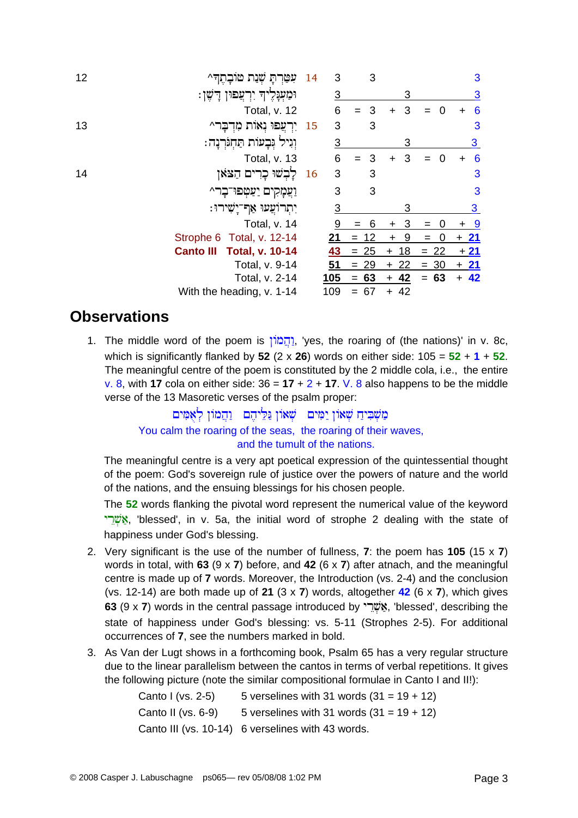| 12 | עטרת שנת טובתה^                            | 14  | 3              | 3                       |                 |                 | 3              |
|----|--------------------------------------------|-----|----------------|-------------------------|-----------------|-----------------|----------------|
|    | וּמַעְּנְלֶיךָ יִרְצַפוּן דָשֶׁן:          |     | $\overline{3}$ |                         | 3               |                 | $\overline{3}$ |
|    | Total, v. 12                               |     | 6              | 3                       | 3<br>$\ddot{}$  | $\Omega$<br>$=$ | 6<br>$\div$    |
| 13 | יִרְעֲפוּ נְאוֹת מִדְבָר^                  | -15 | 3              | 3                       |                 |                 | 3              |
|    | וְנִיל גִּבָעוֹת תַּחְגִּרְנָה:            |     | $\overline{3}$ |                         | 3               |                 | $\overline{3}$ |
|    | Total, v. 13                               |     | 6              | $\overline{\mathbf{3}}$ | 3<br>$\ddot{}$  | $\Omega$<br>$=$ | 6<br>$\div$    |
| 14 | לַבִשׁוּ כָרִים הַצּאו                     | 16  | 3              | 3                       |                 |                 | 3              |
|    | וַעֲמָקִים יַעַטְפוּ־בָר^                  |     | 3              | 3                       |                 |                 | 3              |
|    | יִתְרוֹעֲעוּ אַף־יָשִׁירוּ:                |     | 3              |                         | 3               |                 | 3              |
|    | Total, v. 14                               |     | 9              | 6                       | 3<br>$\pm$      |                 | <u>್ರ</u>      |
|    | Strophe 6 Total, v. 12-14                  |     | <u>21</u>      | $= 12$                  | 9<br>$\ddot{}$  | 0<br>$=$        | $+21$          |
|    | <b>Total, v. 10-14</b><br><b>Canto III</b> |     | 43             | $= 25$                  | -18<br>$\pm$    | $= 22$          | $+21$          |
|    | Total, v. 9-14                             |     | 51             | $= 29$                  | 22<br>$\ddot{}$ | $= 30$          | $+21$          |
|    | Total, v. 2-14                             |     | 105            | $= 63$                  | $+ 42$          | $= 63$          | $+ 42$         |
|    | With the heading, v. 1-14                  |     | 109            | 67<br>$=$               | $+ 42$          |                 |                |

#### **Observations**

1. The middle word of the poem is [הֲמֹוֹן, 'yes, the roaring of (the nations)' in v. 8c, which is significantly flanked by 52 (2 x 26) words on either side:  $105 = 52 + 1 + 52$ . The meaningful centre of the poem is constituted by the 2 middle cola, i.e., the entire v. 8, with 17 cola on either side:  $36 = 17 + 2 + 17$ . V. 8 also happens to be the middle verse of the 13 Masoretic verses of the psalm proper:

#### מַשְׁבִּיחַ שְׁאוֹן יִמִּים  $\;$ שְׁאוֹן מַלֵּיחֶם מִשְׁבִּיחַ מִ You calm the roaring of the seas, the roaring of their waves, and the tumult of the nations.

The meaningful centre is a very apt poetical expression of the quintessential thought of the poem: God's sovereign rule of justice over the powers of nature and the world of the nations, and the ensuing blessings for his chosen people.

The 52 words flanking the pivotal word represent the numerical value of the keyword אַשֶּׁרֵי, 'blessed', in v. 5a, the initial word of strophe 2 dealing with the state of happiness under God's blessing.

- 2. Very significant is the use of the number of fullness,  $7$ : the poem has  $105$  (15 x  $7$ ) words in total, with 63 (9 x 7) before, and 42 (6 x 7) after at nach, and the meaningful centre is made up of 7 words. Moreover, the Introduction (vs. 2-4) and the conclusion (vs. 12-14) are both made up of 21 (3 x 7) words, altogether  $42$  (6 x 7), which gives 63 (9 x 7) words in the central passage introduced by "שׂבא", 'blessed', describing the state of happiness under God's blessing: vs. 5-11 (Strophes 2-5). For additional occurrences of 7, see the numbers marked in bold.
- 3. As Van der Lugt shows in a forthcoming book, Psalm 65 has a very regular structure due to the linear parallelism between the cantos in terms of verbal repetitions. It gives the following picture (note the similar compositional formulae in Canto I and II!):

Canto I (vs. 2-5) 5 verselines with 31 words  $(31 = 19 + 12)$ Canto II (vs. 6-9) 5 verselines with 31 words  $(31 = 19 + 12)$ Canto III (vs. 10-14) 6 verselines with 43 words.